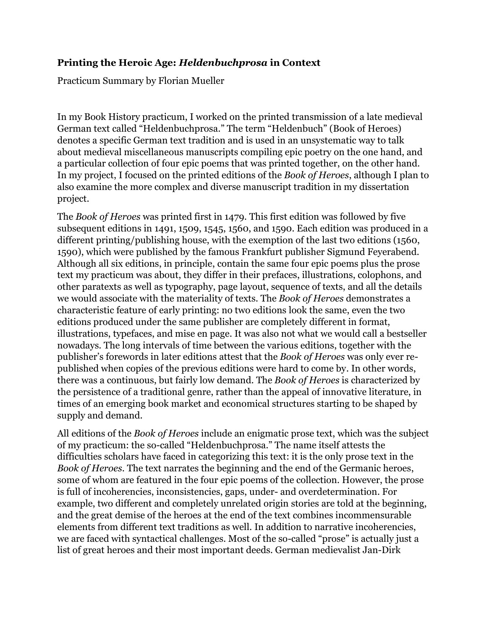## **Printing the Heroic Age:** *Heldenbuchprosa* **in Context**

Practicum Summary by Florian Mueller

In my Book History practicum, I worked on the printed transmission of a late medieval German text called "Heldenbuchprosa." The term "Heldenbuch" (Book of Heroes) denotes a specific German text tradition and is used in an unsystematic way to talk about medieval miscellaneous manuscripts compiling epic poetry on the one hand, and a particular collection of four epic poems that was printed together, on the other hand. In my project, I focused on the printed editions of the *Book of Heroes*, although I plan to also examine the more complex and diverse manuscript tradition in my dissertation project.

The *Book of Heroes* was printed first in 1479. This first edition was followed by five subsequent editions in 1491, 1509, 1545, 1560, and 1590. Each edition was produced in a different printing/publishing house, with the exemption of the last two editions (1560, 1590), which were published by the famous Frankfurt publisher Sigmund Feyerabend. Although all six editions, in principle, contain the same four epic poems plus the prose text my practicum was about, they differ in their prefaces, illustrations, colophons, and other paratexts as well as typography, page layout, sequence of texts, and all the details we would associate with the materiality of texts. The *Book of Heroes* demonstrates a characteristic feature of early printing: no two editions look the same, even the two editions produced under the same publisher are completely different in format, illustrations, typefaces, and mise en page. It was also not what we would call a bestseller nowadays. The long intervals of time between the various editions, together with the publisher's forewords in later editions attest that the *Book of Heroes* was only ever republished when copies of the previous editions were hard to come by. In other words, there was a continuous, but fairly low demand. The *Book of Heroes* is characterized by the persistence of a traditional genre, rather than the appeal of innovative literature, in times of an emerging book market and economical structures starting to be shaped by supply and demand.

All editions of the *Book of Heroes* include an enigmatic prose text, which was the subject of my practicum: the so-called "Heldenbuchprosa." The name itself attests the difficulties scholars have faced in categorizing this text: it is the only prose text in the *Book of Heroes*. The text narrates the beginning and the end of the Germanic heroes, some of whom are featured in the four epic poems of the collection. However, the prose is full of incoherencies, inconsistencies, gaps, under- and overdetermination. For example, two different and completely unrelated origin stories are told at the beginning, and the great demise of the heroes at the end of the text combines incommensurable elements from different text traditions as well. In addition to narrative incoherencies, we are faced with syntactical challenges. Most of the so-called "prose" is actually just a list of great heroes and their most important deeds. German medievalist Jan-Dirk